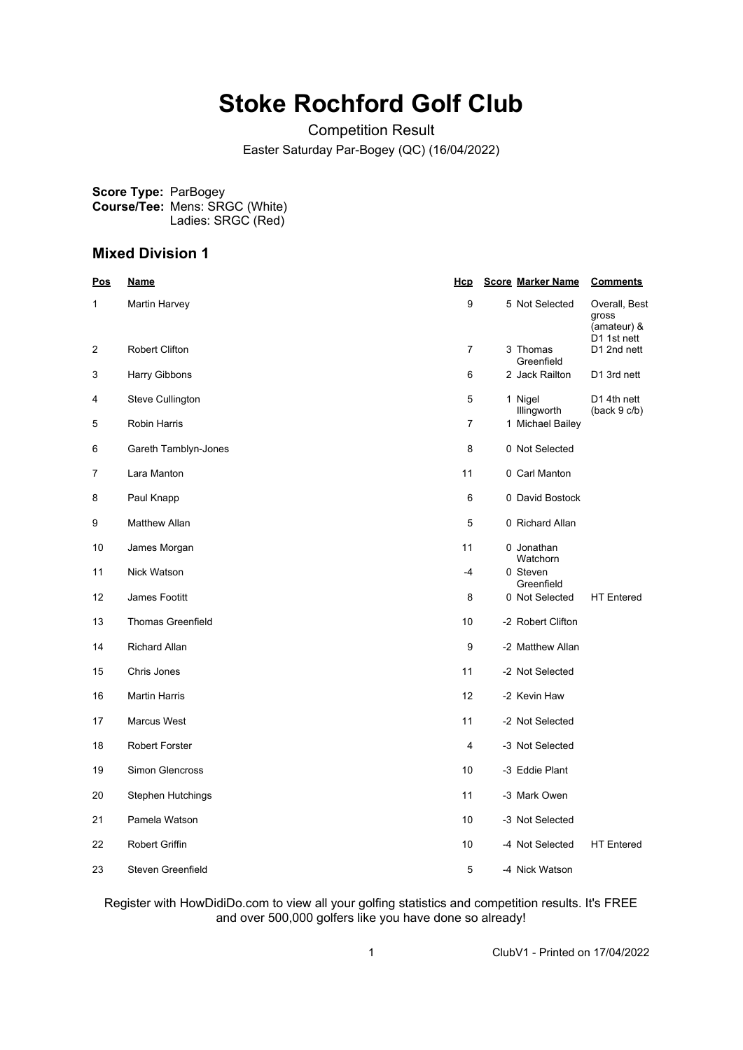# **Stoke Rochford Golf Club**

Competition Result Easter Saturday Par-Bogey (QC) (16/04/2022)

**Score Type:** ParBogey **Course/Tee:** Mens: SRGC (White) Ladies: SRGC (Red)

#### **Mixed Division 1**

| <u>Pos</u> | <u>Name</u>              | <u>Hcp</u>     | <b>Score Marker Name</b> | <b>Comments</b>                                      |
|------------|--------------------------|----------------|--------------------------|------------------------------------------------------|
| 1          | Martin Harvey            | 9              | 5 Not Selected           | Overall, Best<br>gross<br>(amateur) &<br>D1 1st nett |
| 2          | <b>Robert Clifton</b>    | $\overline{7}$ | 3 Thomas<br>Greenfield   | D1 2nd nett                                          |
| 3          | Harry Gibbons            | 6              | 2 Jack Railton           | D1 3rd nett                                          |
| 4          | Steve Cullington         | 5              | 1 Nigel<br>Illingworth   | D1 4th nett<br>(back 9 c/b)                          |
| 5          | <b>Robin Harris</b>      | $\overline{7}$ | 1 Michael Bailey         |                                                      |
| 6          | Gareth Tamblyn-Jones     | 8              | 0 Not Selected           |                                                      |
| 7          | Lara Manton              | 11             | 0 Carl Manton            |                                                      |
| 8          | Paul Knapp               | 6              | 0 David Bostock          |                                                      |
| 9          | <b>Matthew Allan</b>     | 5              | 0 Richard Allan          |                                                      |
| 10         | James Morgan             | 11             | 0 Jonathan<br>Watchorn   |                                                      |
| 11         | <b>Nick Watson</b>       | $-4$           | 0 Steven<br>Greenfield   |                                                      |
| 12         | James Footitt            | 8              | 0 Not Selected           | <b>HT</b> Entered                                    |
| 13         | <b>Thomas Greenfield</b> | 10             | -2 Robert Clifton        |                                                      |
| 14         | <b>Richard Allan</b>     | 9              | -2 Matthew Allan         |                                                      |
| 15         | Chris Jones              | 11             | -2 Not Selected          |                                                      |
| 16         | <b>Martin Harris</b>     | 12             | -2 Kevin Haw             |                                                      |
| 17         | <b>Marcus West</b>       | 11             | -2 Not Selected          |                                                      |
| 18         | <b>Robert Forster</b>    | 4              | -3 Not Selected          |                                                      |
| 19         | Simon Glencross          | 10             | -3 Eddie Plant           |                                                      |
| 20         | Stephen Hutchings        | 11             | -3 Mark Owen             |                                                      |
| 21         | Pamela Watson            | 10             | -3 Not Selected          |                                                      |
| 22         | Robert Griffin           | 10             | -4 Not Selected          | <b>HT</b> Entered                                    |
| 23         | Steven Greenfield        | 5              | -4 Nick Watson           |                                                      |

Register with HowDidiDo.com to view all your golfing statistics and competition results. It's FREE and over 500,000 golfers like you have done so already!

1 ClubV1 - Printed on 17/04/2022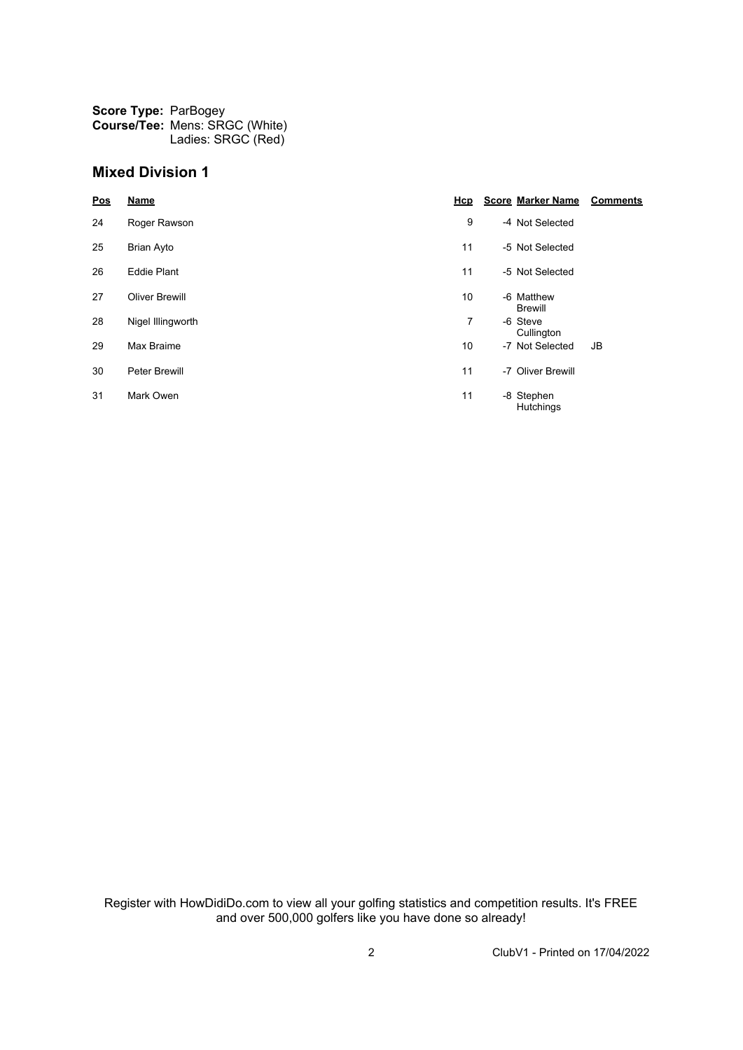**Score Type: Course/Tee:** ParBogey Mens: SRGC (White) Ladies: SRGC (Red)

### **Mixed Division 1**

| <b>Pos</b> | <b>Name</b>           | Hcp | <b>Score Marker Name</b>       | <b>Comments</b> |
|------------|-----------------------|-----|--------------------------------|-----------------|
| 24         | Roger Rawson          | 9   | -4 Not Selected                |                 |
| 25         | <b>Brian Ayto</b>     | 11  | -5 Not Selected                |                 |
| 26         | <b>Eddie Plant</b>    | 11  | -5 Not Selected                |                 |
| 27         | <b>Oliver Brewill</b> | 10  | -6 Matthew<br><b>Brewill</b>   |                 |
| 28         | Nigel Illingworth     | 7   | -6 Steve<br>Cullington         |                 |
| 29         | Max Braime            | 10  | -7 Not Selected                | JB              |
| 30         | Peter Brewill         | 11  | -7 Oliver Brewill              |                 |
| 31         | Mark Owen             | 11  | -8 Stephen<br><b>Hutchings</b> |                 |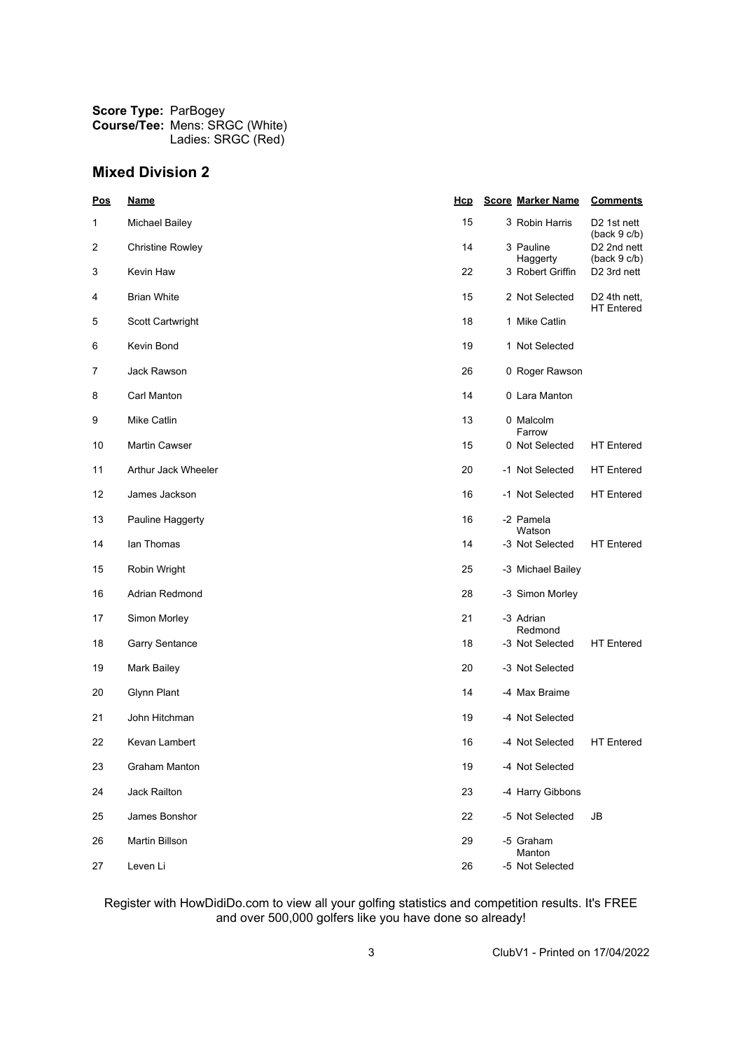## **Mixed Division 2**

| <u>Pos</u> | <b>Name</b>             | <u>Hcp</u> | <b>Score Marker Name</b>  | <b>Comments</b>                               |
|------------|-------------------------|------------|---------------------------|-----------------------------------------------|
| 1          | <b>Michael Bailey</b>   | 15         | 3 Robin Harris            | D2 1st nett<br>(back 9 c/b)                   |
| 2          | <b>Christine Rowley</b> | 14         | 3 Pauline<br>Haggerty     | D2 2nd nett<br>(back 9 c/b)                   |
| 3          | Kevin Haw               | 22         | 3 Robert Griffin          | D <sub>2</sub> 3rd nett                       |
| 4          | <b>Brian White</b>      | 15         | 2 Not Selected            | D <sub>2</sub> 4th nett,<br><b>HT</b> Entered |
| 5          | Scott Cartwright        | 18         | 1 Mike Catlin             |                                               |
| 6          | Kevin Bond              | 19         | 1 Not Selected            |                                               |
| 7          | Jack Rawson             | 26         | 0 Roger Rawson            |                                               |
| 8          | Carl Manton             | 14         | 0 Lara Manton             |                                               |
| 9          | Mike Catlin             | 13         | 0 Malcolm<br>Farrow       |                                               |
| 10         | <b>Martin Cawser</b>    | 15         | 0 Not Selected            | <b>HT</b> Entered                             |
| 11         | Arthur Jack Wheeler     | 20         | -1 Not Selected           | <b>HT</b> Entered                             |
| 12         | James Jackson           | 16         | -1 Not Selected           | <b>HT</b> Entered                             |
| 13         | Pauline Haggerty        | 16         | -2 Pamela<br>Watson       |                                               |
| 14         | lan Thomas              | 14         | -3 Not Selected           | <b>HT</b> Entered                             |
| 15         | Robin Wright            | 25         | -3 Michael Bailey         |                                               |
| 16         | Adrian Redmond          | 28         | -3 Simon Morley           |                                               |
| 17         | Simon Morley            | 21         | -3 Adrian<br>Redmond      |                                               |
| 18         | Garry Sentance          | 18         | -3 Not Selected           | <b>HT</b> Entered                             |
| 19         | <b>Mark Bailey</b>      | 20         | -3 Not Selected           |                                               |
| 20         | <b>Glynn Plant</b>      | 14         | -4 Max Braime             |                                               |
| 21         | John Hitchman           | 19         | -4 Not Selected           |                                               |
| 22         | Kevan Lambert           | 16         | -4 Not Selected           | <b>HT</b> Entered                             |
| 23         | Graham Manton           | 19         | -4 Not Selected           |                                               |
| 24         | Jack Railton            | 23         | -4 Harry Gibbons          |                                               |
| 25         | James Bonshor           | 22         | -5 Not Selected           | JB                                            |
| 26         | Martin Billson          | 29         | -5 Graham                 |                                               |
| 27         | Leven Li                | 26         | Manton<br>-5 Not Selected |                                               |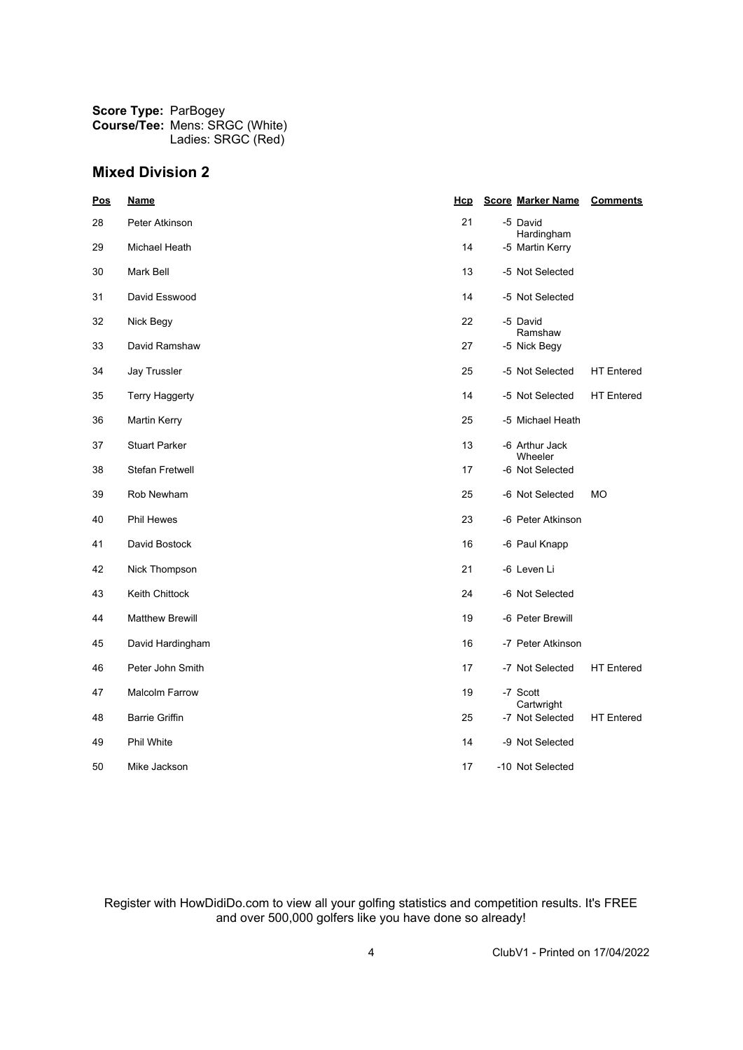### **Mixed Division 2**

| Pos | <b>Name</b>            | <b>Hcp</b> | <b>Score Marker Name</b>      | <b>Comments</b>   |
|-----|------------------------|------------|-------------------------------|-------------------|
| 28  | Peter Atkinson         | 21         | -5 David<br>Hardingham        |                   |
| 29  | Michael Heath          | 14         | -5 Martin Kerry               |                   |
| 30  | Mark Bell              | 13         | -5 Not Selected               |                   |
| 31  | David Esswood          | 14         | -5 Not Selected               |                   |
| 32  | Nick Begy              | 22         | -5 David<br>Ramshaw           |                   |
| 33  | David Ramshaw          | 27         | -5 Nick Begy                  |                   |
| 34  | Jay Trussler           | 25         | -5 Not Selected               | <b>HT Entered</b> |
| 35  | <b>Terry Haggerty</b>  | 14         | -5 Not Selected               | <b>HT</b> Entered |
| 36  | <b>Martin Kerry</b>    | 25         | -5 Michael Heath              |                   |
| 37  | <b>Stuart Parker</b>   | 13         | -6 Arthur Jack<br>Wheeler     |                   |
| 38  | <b>Stefan Fretwell</b> | 17         | -6 Not Selected               |                   |
| 39  | Rob Newham             | 25         | -6 Not Selected               | <b>MO</b>         |
| 40  | <b>Phil Hewes</b>      | 23         | -6 Peter Atkinson             |                   |
| 41  | David Bostock          | 16         | -6 Paul Knapp                 |                   |
| 42  | Nick Thompson          | 21         | -6 Leven Li                   |                   |
| 43  | Keith Chittock         | 24         | -6 Not Selected               |                   |
| 44  | <b>Matthew Brewill</b> | 19         | -6 Peter Brewill              |                   |
| 45  | David Hardingham       | 16         | -7 Peter Atkinson             |                   |
| 46  | Peter John Smith       | 17         | -7 Not Selected               | <b>HT Entered</b> |
| 47  | <b>Malcolm Farrow</b>  | 19         | -7 Scott                      |                   |
| 48  | <b>Barrie Griffin</b>  | 25         | Cartwright<br>-7 Not Selected | <b>HT</b> Entered |
| 49  | Phil White             | 14         | -9 Not Selected               |                   |
| 50  | Mike Jackson           | 17         | -10 Not Selected              |                   |